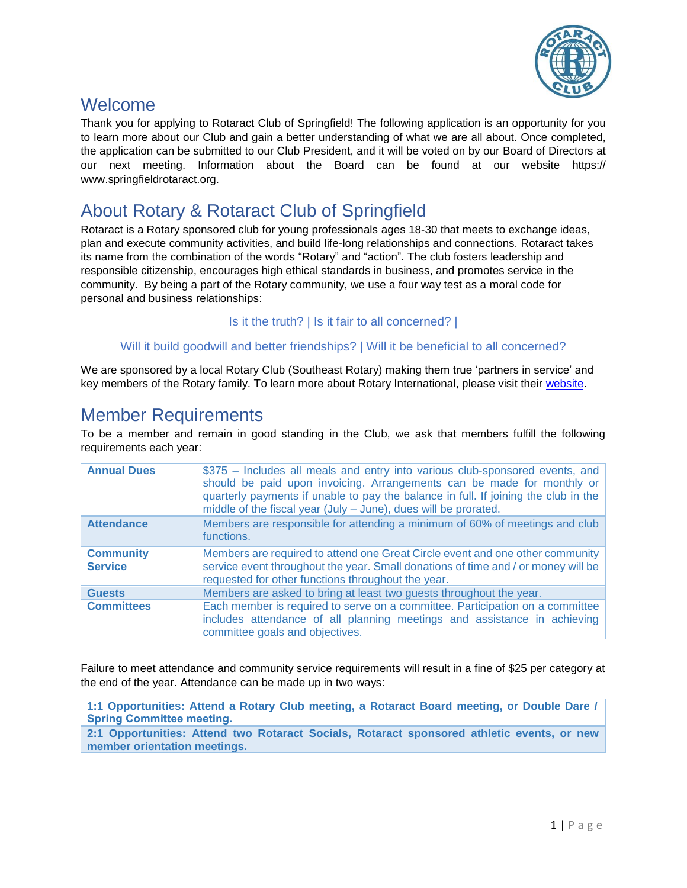

### Welcome

Thank you for applying to Rotaract Club of Springfield! The following application is an opportunity for you to learn more about our Club and gain a better understanding of what we are all about. Once completed, the application can be submitted to our Club President, and it will be voted on by our Board of Directors at our next meeting. Information about the Board can be found at our website https:// www.springfieldrotaract.org.

# About Rotary & Rotaract Club of Springfield

Rotaract is a Rotary sponsored club for young professionals ages 18-30 that meets to exchange ideas, plan and execute community activities, and build life-long relationships and connections. Rotaract takes its name from the combination of the words "Rotary" and "action". The club fosters leadership and responsible citizenship, encourages high ethical standards in business, and promotes service in the community. By being a part of the Rotary community, we use a four way test as a moral code for personal and business relationships:

### Is it the truth? | Is it fair to all concerned? |

### Will it build goodwill and better friendships? | Will it be beneficial to all concerned?

We are sponsored by a local Rotary Club (Southeast Rotary) making them true 'partners in service' and key members of the Rotary family. To learn more about Rotary International, please visit their website.

## Member Requirements

To be a member and remain in good standing in the Club, we ask that members fulfill the following requirements each year:

| <b>Annual Dues</b>                 | \$375 – Includes all meals and entry into various club-sponsored events, and<br>should be paid upon invoicing. Arrangements can be made for monthly or<br>quarterly payments if unable to pay the balance in full. If joining the club in the<br>middle of the fiscal year (July - June), dues will be prorated. |
|------------------------------------|------------------------------------------------------------------------------------------------------------------------------------------------------------------------------------------------------------------------------------------------------------------------------------------------------------------|
| <b>Attendance</b>                  | Members are responsible for attending a minimum of 60% of meetings and club<br>functions.                                                                                                                                                                                                                        |
| <b>Community</b><br><b>Service</b> | Members are required to attend one Great Circle event and one other community<br>service event throughout the year. Small donations of time and / or money will be<br>requested for other functions throughout the year.                                                                                         |
| <b>Guests</b>                      | Members are asked to bring at least two guests throughout the year.                                                                                                                                                                                                                                              |
| <b>Committees</b>                  | Each member is required to serve on a committee. Participation on a committee<br>includes attendance of all planning meetings and assistance in achieving<br>committee goals and objectives.                                                                                                                     |

Failure to meet attendance and community service requirements will result in a fine of \$25 per category at the end of the year. Attendance can be made up in two ways:

**1:1 Opportunities: Attend a Rotary Club meeting, a Rotaract Board meeting, or Double Dare / Spring Committee meeting.**

**2:1 Opportunities: Attend two Rotaract Socials, Rotaract sponsored athletic events, or new member orientation meetings.**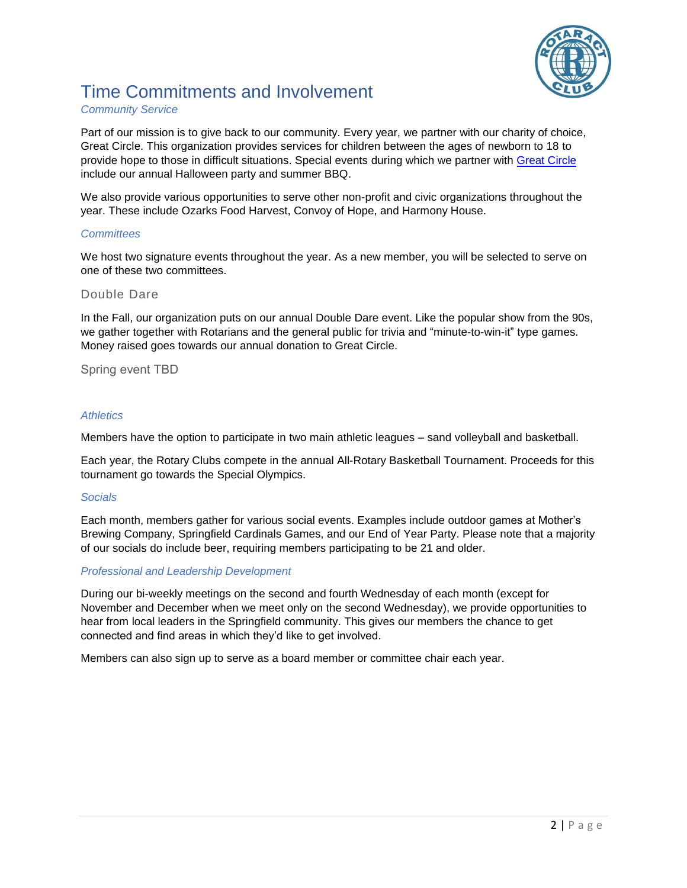

# Time Commitments and Involvement

#### *Community Service*

Part of our mission is to give back to our community. Every year, we partner with our charity of choice, Great Circle. This organization provides services for children between the ages of newborn to 18 to provide hope to those in difficult situations. Special events during which we partner with Great Circle include our annual Halloween party and summer BBQ.

We also provide various opportunities to serve other non-profit and civic organizations throughout the year. These include Ozarks Food Harvest, Convoy of Hope, and Harmony House.

#### *Committees*

We host two signature events throughout the year. As a new member, you will be selected to serve on one of these two committees.

#### Double Dare

In the Fall, our organization puts on our annual Double Dare event. Like the popular show from the 90s, we gather together with Rotarians and the general public for trivia and "minute-to-win-it" type games. Money raised goes towards our annual donation to Great Circle.

#### Spring event TBD

#### *Athletics*

Members have the option to participate in two main athletic leagues – sand volleyball and basketball.

Each year, the Rotary Clubs compete in the annual All-Rotary Basketball Tournament. Proceeds for this tournament go towards the Special Olympics.

#### *Socials*

Each month, members gather for various social events. Examples include outdoor games at Mother's Brewing Company, Springfield Cardinals Games, and our End of Year Party. Please note that a majority of our socials do include beer, requiring members participating to be 21 and older.

#### *Professional and Leadership Development*

During our bi-weekly meetings on the second and fourth Wednesday of each month (except for November and December when we meet only on the second Wednesday), we provide opportunities to hear from local leaders in the Springfield community. This gives our members the chance to get connected and find areas in which they'd like to get involved.

Members can also sign up to serve as a board member or committee chair each year.